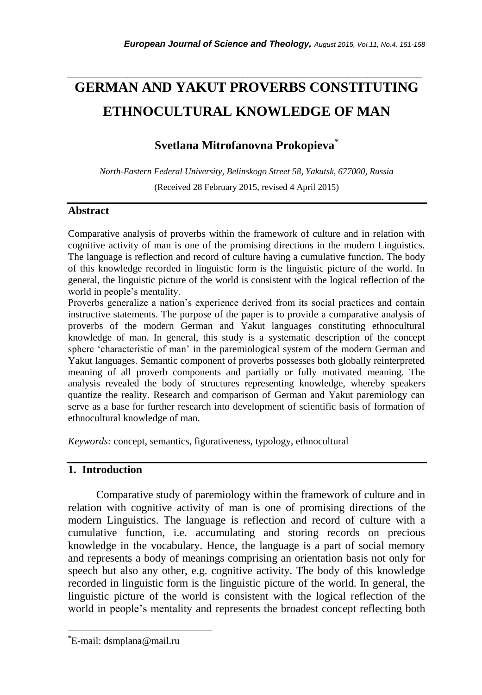# **GERMAN AND YAKUT PROVERBS CONSTITUTING ETHNOCULTURAL KNOWLEDGE OF MAN**

*\_\_\_\_\_\_\_\_\_\_\_\_\_\_\_\_\_\_\_\_\_\_\_\_\_\_\_\_\_\_\_\_\_\_\_\_\_\_\_\_\_\_\_\_\_\_\_\_\_\_\_\_\_\_\_\_\_\_\_\_\_\_\_\_\_\_\_\_\_\_\_*

# **Svetlana Mitrofanovna Prokopieva**\*

*North-Eastern Federal University, Belinskogo Street 58, Yakutsk, 677000, Russia* (Received 28 February 2015, revised 4 April 2015)

#### **Abstract**

Comparative analysis of proverbs within the framework of culture and in relation with cognitive activity of man is one of the promising directions in the modern Linguistics. The language is reflection and record of culture having a cumulative function. The body of this knowledge recorded in linguistic form is the linguistic picture of the world. In general, the linguistic picture of the world is consistent with the logical reflection of the world in people's mentality.

Proverbs generalize a nation's experience derived from its social practices and contain instructive statements. The purpose of the paper is to provide a comparative analysis of proverbs of the modern German and Yakut languages constituting ethnocultural knowledge of man. In general, this study is a systematic description of the concept sphere 'characteristic of man' in the paremiological system of the modern German and Yakut languages. Semantic component of proverbs possesses both globally reinterpreted meaning of all proverb components and partially or fully motivated meaning. The analysis revealed the body of structures representing knowledge, whereby speakers quantize the reality. Research and comparison of German and Yakut paremiology can serve as a base for further research into development of scientific basis of formation of ethnocultural knowledge of man.

*Keywords:* concept, semantics, figurativeness, typology, ethnocultural

## **1. Introduction**

Comparative study of paremiology within the framework of culture and in relation with cognitive activity of man is one of promising directions of the modern Linguistics. The language is reflection and record of culture with a cumulative function, i.e. accumulating and storing records on precious knowledge in the vocabulary. Hence, the language is a part of social memory and represents a body of meanings comprising an orientation basis not only for speech but also any other, e.g. cognitive activity. The body of this knowledge recorded in linguistic form is the linguistic picture of the world. In general, the linguistic picture of the world is consistent with the logical reflection of the world in people's mentality and represents the broadest concept reflecting both

l

<sup>\*</sup>E-mail: dsmplana@mail.ru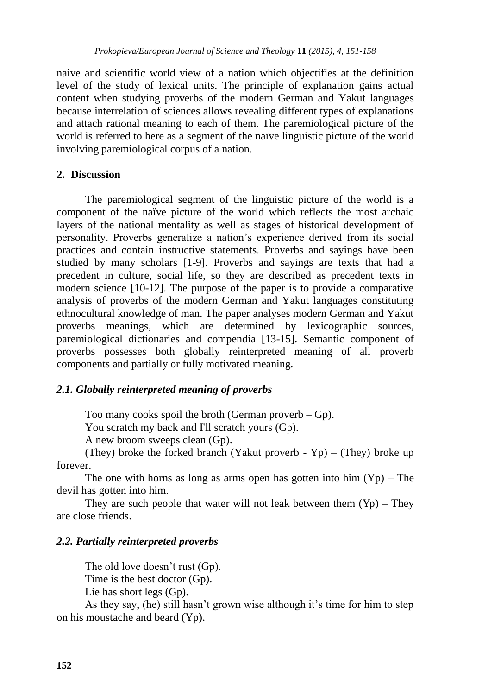naive and scientific world view of a nation which objectifies at the definition level of the study of lexical units. The principle of explanation gains actual content when studying proverbs of the modern German and Yakut languages because interrelation of sciences allows revealing different types of explanations and attach rational meaning to each of them. The paremiological picture of the world is referred to here as a segment of the naïve linguistic picture of the world involving paremiological corpus of a nation.

## **2. Discussion**

The paremiological segment of the linguistic picture of the world is a component of the naïve picture of the world which reflects the most archaic layers of the national mentality as well as stages of historical development of personality. Proverbs generalize a nation's experience derived from its social practices and contain instructive statements. Proverbs and sayings have been studied by many scholars [1-9]. Proverbs and sayings are texts that had a precedent in culture, social life, so they are described as precedent texts in modern science [10-12]. The purpose of the paper is to provide a comparative analysis of proverbs of the modern German and Yakut languages constituting ethnocultural knowledge of man. The paper analyses modern German and Yakut proverbs meanings, which are determined by lexicographic sources, paremiological dictionaries and compendia [13-15]. Semantic component of proverbs possesses both globally reinterpreted meaning of all proverb components and partially or fully motivated meaning.

## *2.1. Globally reinterpreted meaning of proverbs*

Too many cooks spoil the broth (German proverb  $-$  Gp).

You scratch my back and I'll scratch yours (Gp).

A new broom sweeps clean (Gp).

(They) broke the forked branch (Yakut proverb - Yp) – (They) broke up forever.

The one with horns as long as arms open has gotten into him  $(Yp)$  – The devil has gotten into him.

They are such people that water will not leak between them  $(Yp)$  – They are close friends.

# *2.2. Partially reinterpreted proverbs*

The old love doesn't rust (Gp).

Time is the best doctor (Gp).

Lie has short legs (Gp).

As they say, (he) still hasn't grown wise although it's time for him to step on his moustache and beard (Yp).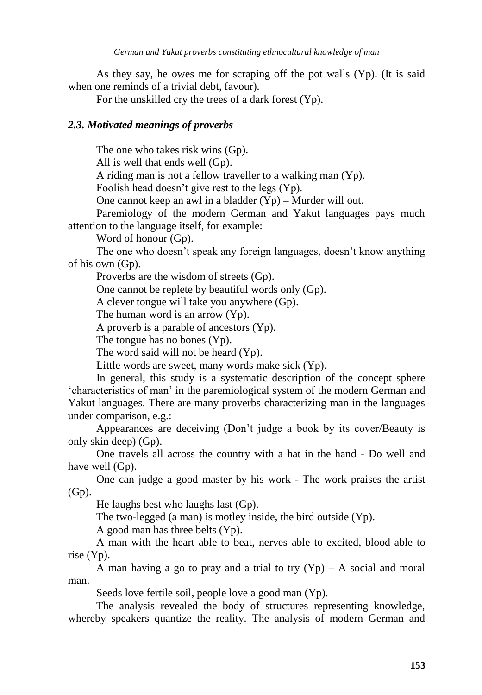As they say, he owes me for scraping off the pot walls (Yp). (It is said when one reminds of a trivial debt, favour).

For the unskilled cry the trees of a dark forest (Yp).

#### *2.3. Motivated meanings of proverbs*

The one who takes risk wins (Gp).

All is well that ends well (Gp).

A riding man is not a fellow traveller to a walking man (Yp).

Foolish head doesn't give rest to the legs (Yp).

One cannot keep an awl in a bladder (Yp) – Murder will out.

Paremiology of the modern German and Yakut languages pays much attention to the language itself, for example:

Word of honour (Gp).

The one who doesn't speak any foreign languages, doesn't know anything of his own (Gp).

Proverbs are the wisdom of streets (Gp).

One cannot be replete by beautiful words only (Gp).

A clever tongue will take you anywhere (Gp).

The human word is an arrow (Yp).

A proverb is a parable of ancestors (Yp).

The tongue has no bones (Yp).

The word said will not be heard (Yp).

Little words are sweet, many words make sick (Yp).

In general, this study is a systematic description of the concept sphere 'characteristics of man' in the paremiological system of the modern German and Yakut languages. There are many proverbs characterizing man in the languages under comparison, e.g.:

Appearances are deceiving (Don't judge a book by its cover/Beauty is only skin deep) (Gp).

One travels all across the country with a hat in the hand - Do well and have well (Gp).

One can judge a good master by his work - The work praises the artist (Gp).

He laughs best who laughs last (Gp).

The two-legged (a man) is motley inside, the bird outside (Yp).

A good man has three belts (Yp).

A man with the heart able to beat, nerves able to excited, blood able to rise (Yp).

A man having a go to pray and a trial to try  $(Yp) - A$  social and moral man.

Seeds love fertile soil, people love a good man (Yp).

The analysis revealed the body of structures representing knowledge, whereby speakers quantize the reality. The analysis of modern German and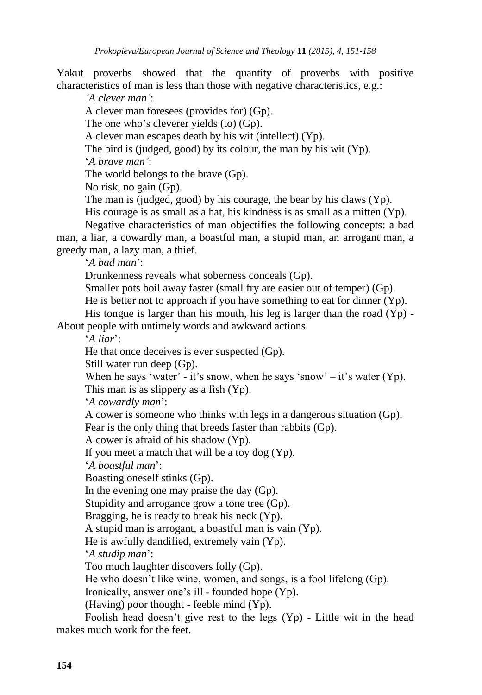Yakut proverbs showed that the quantity of proverbs with positive characteristics of man is less than those with negative characteristics, e.g.:

*'A clever man'*:

A clever man foresees (provides for) (Gp).

The one who's cleverer yields (to) (Gp).

A clever man escapes death by his wit (intellect) (Yp).

The bird is (judged, good) by its colour, the man by his wit  $(Y_p)$ .

'*A brave man'*:

The world belongs to the brave (Gp).

No risk, no gain (Gp).

The man is (judged, good) by his courage, the bear by his claws (Yp).

His courage is as small as a hat, his kindness is as small as a mitten  $(Yp)$ .

Negative characteristics of man objectifies the following concepts: a bad man, a liar, a cowardly man, a boastful man, a stupid man, an arrogant man, a greedy man, a lazy man, a thief.

'*A bad man*':

Drunkenness reveals what soberness conceals (Gp).

Smaller pots boil away faster (small fry are easier out of temper) (Gp).

He is better not to approach if you have something to eat for dinner  $(Yp)$ .

His tongue is larger than his mouth, his leg is larger than the road  $(Yp)$  -

About people with untimely words and awkward actions.

'*A liar*':

He that once deceives is ever suspected (Gp).

Still water run deep (Gp).

When he says 'water' - it's snow, when he says 'snow' – it's water  $(Y_p)$ . This man is as slippery as a fish (Yp).

'*A cowardly man*':

A cower is someone who thinks with legs in a dangerous situation (Gp).

Fear is the only thing that breeds faster than rabbits (Gp).

A cower is afraid of his shadow (Yp).

If you meet a match that will be a toy dog  $(Yp)$ .

'*A boastful man*':

Boasting oneself stinks (Gp).

In the evening one may praise the day (Gp).

Stupidity and arrogance grow a tone tree (Gp).

Bragging, he is ready to break his neck (Yp).

A stupid man is arrogant, a boastful man is vain (Yp).

He is awfully dandified, extremely vain (Yp).

'*A studip man*':

Too much laughter discovers folly (Gp).

He who doesn't like wine, women, and songs, is a fool lifelong (Gp).

Ironically, answer one's ill - founded hope (Yp).

(Having) poor thought - feeble mind  $(Y_p)$ .

Foolish head doesn't give rest to the legs (Yp) - Little wit in the head makes much work for the feet.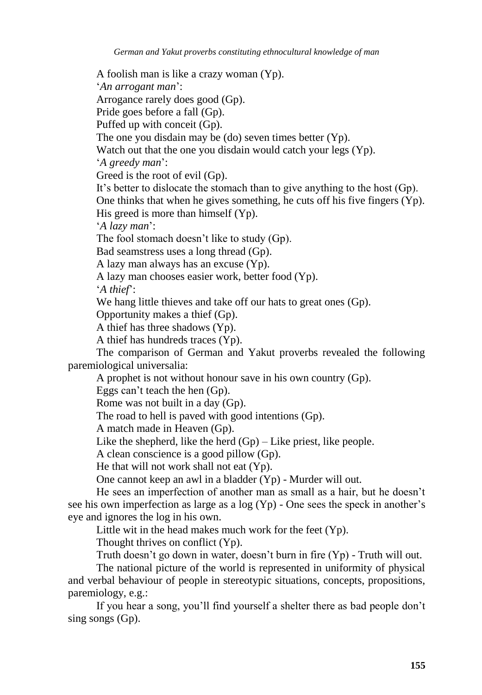*German and Yakut proverbs constituting ethnocultural knowledge of man*

A foolish man is like a crazy woman (Yp). '*An arrogant man*': Arrogance rarely does good (Gp). Pride goes before a fall (Gp). Puffed up with conceit (Gp). The one you disdain may be (do) seven times better (Yp). Watch out that the one you disdain would catch your legs (Yp). '*A greedy man*': Greed is the root of evil (Gp). It's better to dislocate the stomach than to give anything to the host (Gp). One thinks that when he gives something, he cuts off his five fingers (Yp). His greed is more than himself  $(Y_p)$ . '*A lazy man*': The fool stomach doesn't like to study (Gp). Bad seamstress uses a long thread (Gp). A lazy man always has an excuse (Yp). A lazy man chooses easier work, better food (Yp). '*A thief*': We hang little thieves and take off our hats to great ones (Gp). Opportunity makes a thief (Gp). A thief has three shadows (Yp). A thief has hundreds traces (Yp). The comparison of German and Yakut proverbs revealed the following paremiological universalia: A prophet is not without honour save in his own country (Gp). Eggs can't teach the hen (Gp). Rome was not built in a day (Gp). The road to hell is paved with good intentions (Gp). A match made in Heaven (Gp). Like the shepherd, like the herd  $(Gp)$  – Like priest, like people. A clean conscience is a good pillow (Gp). He that will not work shall not eat  $(Yp)$ . One cannot keep an awl in a bladder (Yp) - Murder will out. He sees an imperfection of another man as small as a hair, but he doesn't see his own imperfection as large as a log (Yp) - One sees the speck in another's eye and ignores the log in his own. Little wit in the head makes much work for the feet (Yp). Thought thrives on conflict (Yp). Truth doesn't go down in water, doesn't burn in fire  $(Yp)$  - Truth will out. The national picture of the world is represented in uniformity of physical and verbal behaviour of people in stereotypic situations, concepts, propositions, paremiology, e.g.: If you hear a song, you'll find yourself a shelter there as bad people don't sing songs (Gp).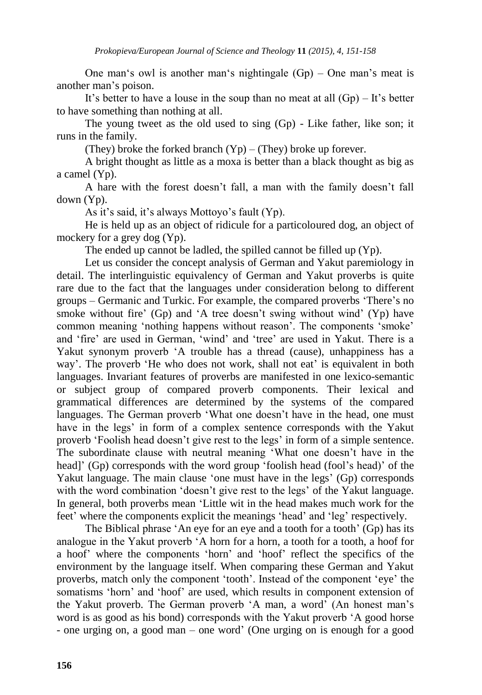One man's owl is another man's nightingale  $(Gp)$  – One man's meat is another man's poison.

It's better to have a louse in the soup than no meat at all  $(Gp) - It$ 's better to have something than nothing at all.

The young tweet as the old used to sing (Gp) - Like father, like son; it runs in the family.

(They) broke the forked branch  $(Y_D) - (Thev)$  broke up forever.

A bright thought as little as a moxa is better than a black thought as big as a camel (Yp).

A hare with the forest doesn't fall, a man with the family doesn't fall down (Yp).

As it's said, it's always Mottoyo's fault (Yp).

He is held up as an object of ridicule for a particoloured dog, an object of mockery for a grey dog (Yp).

The ended up cannot be ladled, the spilled cannot be filled up (Yp).

Let us consider the concept analysis of German and Yakut paremiology in detail. The interlinguistic equivalency of German and Yakut proverbs is quite rare due to the fact that the languages under consideration belong to different groups – Germanic and Turkic. For example, the compared proverbs 'There's no smoke without fire' (Gp) and 'A tree doesn't swing without wind' (Yp) have common meaning 'nothing happens without reason'. The components 'smoke' and 'fire' are used in German, 'wind' and 'tree' are used in Yakut. There is a Yakut synonym proverb 'A trouble has a thread (cause), unhappiness has a way'. The proverb 'He who does not work, shall not eat' is equivalent in both languages. Invariant features of proverbs are manifested in one lexico-semantic or subject group of compared proverb components. Their lexical and grammatical differences are determined by the systems of the compared languages. The German proverb 'What one doesn't have in the head, one must have in the legs' in form of a complex sentence corresponds with the Yakut proverb 'Foolish head doesn't give rest to the legs' in form of a simple sentence. The subordinate clause with neutral meaning 'What one doesn't have in the head]' (Gp) corresponds with the word group 'foolish head (fool's head)' of the Yakut language. The main clause 'one must have in the legs' (Gp) corresponds with the word combination 'doesn't give rest to the legs' of the Yakut language. In general, both proverbs mean 'Little wit in the head makes much work for the feet' where the components explicit the meanings 'head' and 'leg' respectively.

The Biblical phrase 'An eye for an eye and a tooth for a tooth' (Gp) has its analogue in the Yakut proverb 'A horn for a horn, a tooth for a tooth, a hoof for a hoof' where the components 'horn' and 'hoof' reflect the specifics of the environment by the language itself. When comparing these German and Yakut proverbs, match only the component 'tooth'. Instead of the component 'eye' the somatisms 'horn' and 'hoof' are used, which results in component extension of the Yakut proverb. The German proverb 'A man, a word' (An honest man's word is as good as his bond) corresponds with the Yakut proverb 'A good horse - one urging on, a good man – one word' (One urging on is enough for a good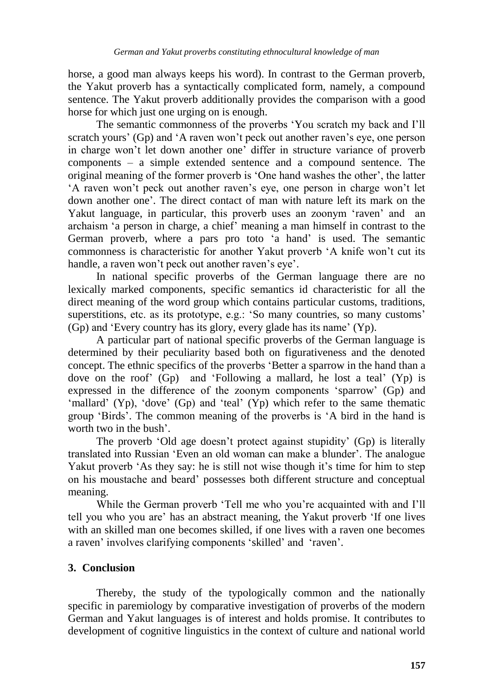horse, a good man always keeps his word). In contrast to the German proverb, the Yakut proverb has a syntactically complicated form, namely, a compound sentence. The Yakut proverb additionally provides the comparison with a good horse for which just one urging on is enough.

The semantic commonness of the proverbs 'You scratch my back and I'll scratch yours' (Gp) and 'A raven won't peck out another raven's eye, one person in charge won't let down another one' differ in structure variance of proverb components – a simple extended sentence and a compound sentence. The original meaning of the former proverb is 'One hand washes the other', the latter 'A raven won't peck out another raven's eye, one person in charge won't let down another one'. The direct contact of man with nature left its mark on the Yakut language, in particular, this proverb uses an zoonym 'raven' and an archaism 'a person in charge, a chief' meaning a man himself in contrast to the German proverb, where a pars pro toto 'a hand' is used. The semantic commonness is characteristic for another Yakut proverb 'A knife won't cut its handle, a raven won't peck out another raven's eye'.

In national specific proverbs of the German language there are no lexically marked components, specific semantics id characteristic for all the direct meaning of the word group which contains particular customs, traditions, superstitions, etc. as its prototype, e.g.: 'So many countries, so many customs' (Gp) and 'Every country has its glory, every glade has its name' (Yp).

A particular part of national specific proverbs of the German language is determined by their peculiarity based both on figurativeness and the denoted concept. The ethnic specifics of the proverbs 'Better a sparrow in the hand than a dove on the roof' (Gp) and 'Following a mallard, he lost a teal' (Yp) is expressed in the difference of the zoonym components 'sparrow' (Gp) and 'mallard' (Yp), 'dove' (Gp) and 'teal' (Yp) which refer to the same thematic group 'Birds'. The common meaning of the proverbs is 'A bird in the hand is worth two in the bush'.

The proverb 'Old age doesn't protect against stupidity' (Gp) is literally translated into Russian 'Even an old woman can make a blunder'. The analogue Yakut proverb 'As they say: he is still not wise though it's time for him to step on his moustache and beard' possesses both different structure and conceptual meaning.

While the German proverb 'Tell me who you're acquainted with and I'll tell you who you are' has an abstract meaning, the Yakut proverb 'If one lives with an skilled man one becomes skilled, if one lives with a raven one becomes a raven' involves clarifying components 'skilled' and 'raven'.

## **3. Conclusion**

Thereby, the study of the typologically common and the nationally specific in paremiology by comparative investigation of proverbs of the modern German and Yakut languages is of interest and holds promise. It contributes to development of cognitive linguistics in the context of culture and national world